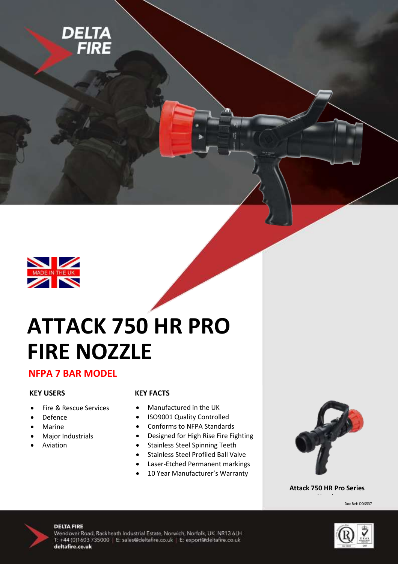



# **ATTACK 750 HR PRO FIRE NOZZLE**

### **NFPA 7 BAR MODEL**

#### **KEY USERS**

- Fire & Rescue Services
- Defence
- Marine
- Major Industrials
- Aviation

#### **KEY FACTS**

- Manufactured in the UK
- ISO9001 Quality Controlled
- Conforms to NFPA Standards
- Designed for High Rise Fire Fighting
- Stainless Steel Spinning Teeth
- Stainless Steel Profiled Ball Valve
- Laser-Etched Permanent markings
- 10 Year Manufacturer's Warranty



#### **Attack 750 HR Pro Series**

Doc Ref: DDS537



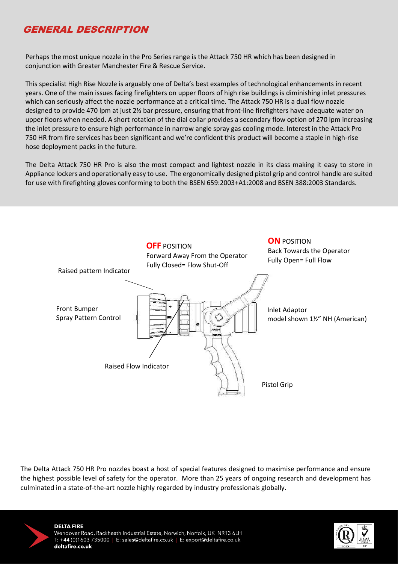# GENERAL DESCRIPTION

Perhaps the most unique nozzle in the Pro Series range is the Attack 750 HR which has been designed in conjunction with Greater Manchester Fire & Rescue Service.

This specialist High Rise Nozzle is arguably one of Delta's best examples of technological enhancements in recent years. One of the main issues facing firefighters on upper floors of high rise buildings is diminishing inlet pressures which can seriously affect the nozzle performance at a critical time. The Attack 750 HR is a dual flow nozzle designed to provide 470 lpm at just 2½ bar pressure, ensuring that front-line firefighters have adequate water on upper floors when needed. A short rotation of the dial collar provides a secondary flow option of 270 lpm increasing the inlet pressure to ensure high performance in narrow angle spray gas cooling mode. Interest in the Attack Pro 750 HR from fire services has been significant and we're confident this product will become a staple in high-rise hose deployment packs in the future.

The Delta Attack 750 HR Pro is also the most compact and lightest nozzle in its class making it easy to store in Appliance lockers and operationally easy to use. The ergonomically designed pistol grip and control handle are suited for use with firefighting gloves conforming to both the BSEN 659:2003+A1:2008 and BSEN 388:2003 Standards.



The Delta Attack 750 HR Pro nozzles boast a host of special features designed to maximise performance and ensure the highest possible level of safety for the operator. More than 25 years of ongoing research and development has culminated in a state-of-the-art nozzle highly regarded by industry professionals globally.



 $\overline{\phantom{a}}$ 

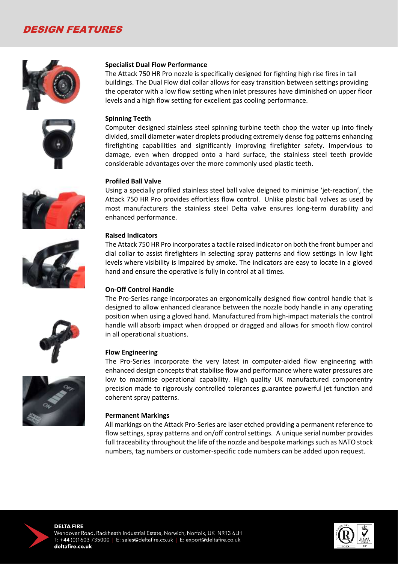## DESIGN FEATURES













#### **Specialist Dual Flow Performance**

The Attack 750 HR Pro nozzle is specifically designed for fighting high rise fires in tall buildings. The Dual Flow dial collar allows for easy transition between settings providing the operator with a low flow setting when inlet pressures have diminished on upper floor levels and a high flow setting for excellent gas cooling performance.

#### **Spinning Teeth**

Computer designed stainless steel spinning turbine teeth chop the water up into finely divided, small diameter water droplets producing extremely dense fog patterns enhancing firefighting capabilities and significantly improving firefighter safety. Impervious to damage, even when dropped onto a hard surface, the stainless steel teeth provide considerable advantages over the more commonly used plastic teeth.

#### **Profiled Ball Valve**

Using a specially profiled stainless steel ball valve deigned to minimise 'jet-reaction', the Attack 750 HR Pro provides effortless flow control. Unlike plastic ball valves as used by most manufacturers the stainless steel Delta valve ensures long-term durability and enhanced performance.

#### **Raised Indicators**

The Attack 750 HR Pro incorporates a tactile raised indicator on both the front bumper and dial collar to assist firefighters in selecting spray patterns and flow settings in low light levels where visibility is impaired by smoke. The indicators are easy to locate in a gloved hand and ensure the operative is fully in control at all times.

#### **On-Off Control Handle**

The Pro-Series range incorporates an ergonomically designed flow control handle that is designed to allow enhanced clearance between the nozzle body handle in any operating position when using a gloved hand. Manufactured from high-impact materials the control handle will absorb impact when dropped or dragged and allows for smooth flow control in all operational situations.

#### **Flow Engineering**

The Pro-Series incorporate the very latest in computer-aided flow engineering with enhanced design concepts that stabilise flow and performance where water pressures are low to maximise operational capability. High quality UK manufactured componentry precision made to rigorously controlled tolerances guarantee powerful jet function and coherent spray patterns.

#### **Permanent Markings**

All markings on the Attack Pro-Series are laser etched providing a permanent reference to flow settings, spray patterns and on/off control settings. A unique serial number provides full traceability throughout the life of the nozzle and bespoke markings such as NATO stock numbers, tag numbers or customer-specific code numbers can be added upon request.